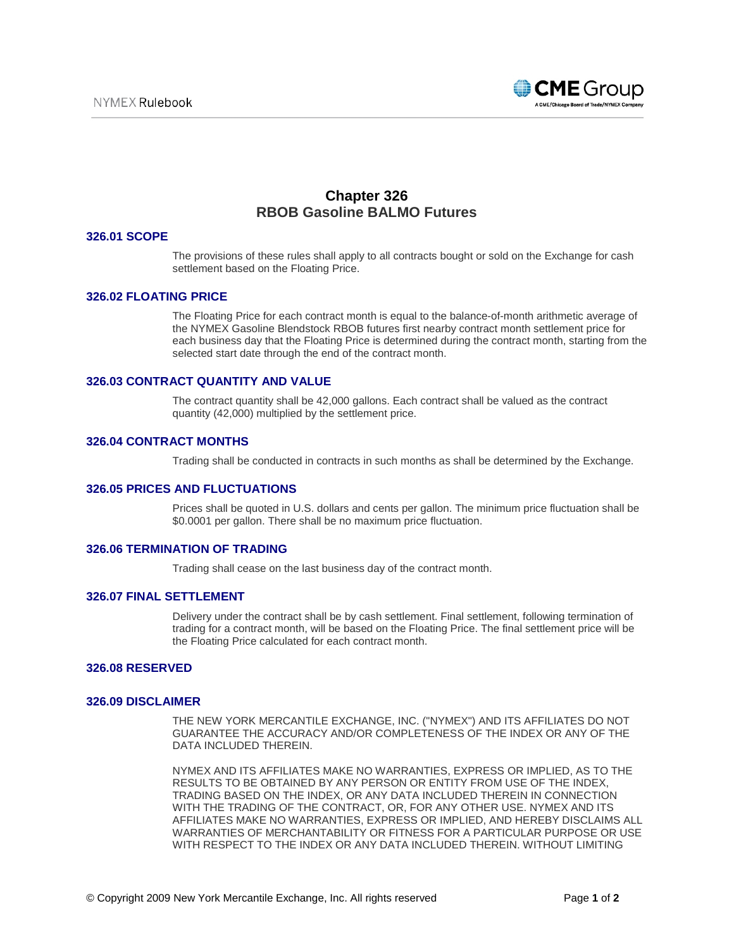

# **Chapter 326 RBOB Gasoline BALMO Futures**

# **326.01 SCOPE**

The provisions of these rules shall apply to all contracts bought or sold on the Exchange for cash settlement based on the Floating Price.

# **326.02 FLOATING PRICE**

The Floating Price for each contract month is equal to the balance-of-month arithmetic average of the NYMEX Gasoline Blendstock RBOB futures first nearby contract month settlement price for each business day that the Floating Price is determined during the contract month, starting from the selected start date through the end of the contract month.

#### **326.03 CONTRACT QUANTITY AND VALUE**

The contract quantity shall be 42,000 gallons. Each contract shall be valued as the contract quantity (42,000) multiplied by the settlement price.

# **326.04 CONTRACT MONTHS**

Trading shall be conducted in contracts in such months as shall be determined by the Exchange.

## **326.05 PRICES AND FLUCTUATIONS**

Prices shall be quoted in U.S. dollars and cents per gallon. The minimum price fluctuation shall be \$0.0001 per gallon. There shall be no maximum price fluctuation.

## **326.06 TERMINATION OF TRADING**

Trading shall cease on the last business day of the contract month.

#### **326.07 FINAL SETTLEMENT**

Delivery under the contract shall be by cash settlement. Final settlement, following termination of trading for a contract month, will be based on the Floating Price. The final settlement price will be the Floating Price calculated for each contract month.

## **326.08 RESERVED**

## **326.09 DISCLAIMER**

THE NEW YORK MERCANTILE EXCHANGE, INC. ("NYMEX") AND ITS AFFILIATES DO NOT GUARANTEE THE ACCURACY AND/OR COMPLETENESS OF THE INDEX OR ANY OF THE DATA INCLUDED THEREIN.

NYMEX AND ITS AFFILIATES MAKE NO WARRANTIES, EXPRESS OR IMPLIED, AS TO THE RESULTS TO BE OBTAINED BY ANY PERSON OR ENTITY FROM USE OF THE INDEX, TRADING BASED ON THE INDEX, OR ANY DATA INCLUDED THEREIN IN CONNECTION WITH THE TRADING OF THE CONTRACT, OR, FOR ANY OTHER USE. NYMEX AND ITS AFFILIATES MAKE NO WARRANTIES, EXPRESS OR IMPLIED, AND HEREBY DISCLAIMS ALL WARRANTIES OF MERCHANTABILITY OR FITNESS FOR A PARTICULAR PURPOSE OR USE WITH RESPECT TO THE INDEX OR ANY DATA INCLUDED THEREIN. WITHOUT LIMITING